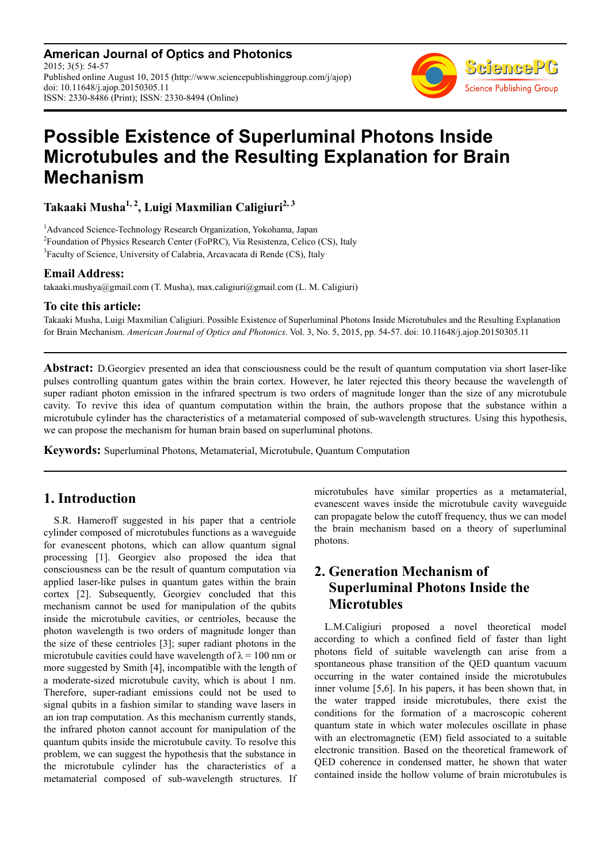**American Journal of Optics and Photonics** 2015; 3(5): 54-57 Published online August 10, 2015 (http://www.sciencepublishinggroup.com/j/ajop) doi: 10.11648/j.ajop.20150305.11 ISSN: 2330-8486 (Print); ISSN: 2330-8494 (Online)



# **Possible Existence of Superluminal Photons Inside Microtubules and the Resulting Explanation for Brain Mechanism**

**Takaaki Musha1, 2, Luigi Maxmilian Caligiuri2, 3** 

<sup>1</sup>Advanced Science-Technology Research Organization, Yokohama, Japan <sup>2</sup> Foundation of Physics Research Center (FoPRC), Via Resistenza, Celico (CS), Italy <sup>3</sup>Faculty of Science, University of Calabria, Arcavacata di Rende (CS), Italy

### **Email Address:**

takaaki.mushya@gmail.com (T. Musha), max.caligiuri@gmail.com (L. M. Caligiuri)

### **To cite this article:**

Takaaki Musha, Luigi Maxmilian Caligiuri. Possible Existence of Superluminal Photons Inside Microtubules and the Resulting Explanation for Brain Mechanism. *American Journal of Optics and Photonics*. Vol. 3, No. 5, 2015, pp. 54-57. doi: 10.11648/j.ajop.20150305.11

**Abstract:** D.Georgiev presented an idea that consciousness could be the result of quantum computation via short laser-like pulses controlling quantum gates within the brain cortex. However, he later rejected this theory because the wavelength of super radiant photon emission in the infrared spectrum is two orders of magnitude longer than the size of any microtubule cavity. To revive this idea of quantum computation within the brain, the authors propose that the substance within a microtubule cylinder has the characteristics of a metamaterial composed of sub-wavelength structures. Using this hypothesis, we can propose the mechanism for human brain based on superluminal photons.

**Keywords:** Superluminal Photons, Metamaterial, Microtubule, Quantum Computation

## **1. Introduction**

S.R. Hameroff suggested in his paper that a centriole cylinder composed of microtubules functions as a waveguide for evanescent photons, which can allow quantum signal processing [1]. Georgiev also proposed the idea that consciousness can be the result of quantum computation via applied laser-like pulses in quantum gates within the brain cortex [2]. Subsequently, Georgiev concluded that this mechanism cannot be used for manipulation of the qubits inside the microtubule cavities, or centrioles, because the photon wavelength is two orders of magnitude longer than the size of these centrioles [3]; super radiant photons in the microtubule cavities could have wavelength of  $\lambda = 100$  nm or more suggested by Smith [4], incompatible with the length of a moderate-sized microtubule cavity, which is about 1 nm. Therefore, super-radiant emissions could not be used to signal qubits in a fashion similar to standing wave lasers in an ion trap computation. As this mechanism currently stands, the infrared photon cannot account for manipulation of the quantum qubits inside the microtubule cavity. To resolve this problem, we can suggest the hypothesis that the substance in the microtubule cylinder has the characteristics of a metamaterial composed of sub-wavelength structures. If microtubules have similar properties as a metamaterial, evanescent waves inside the microtubule cavity waveguide can propagate below the cutoff frequency, thus we can model the brain mechanism based on a theory of superluminal photons.

# **2. Generation Mechanism of Superluminal Photons Inside the Microtubles**

L.M.Caligiuri proposed a novel theoretical model according to which a confined field of faster than light photons field of suitable wavelength can arise from a spontaneous phase transition of the QED quantum vacuum occurring in the water contained inside the microtubules inner volume [5,6]. In his papers, it has been shown that, in the water trapped inside microtubules, there exist the conditions for the formation of a macroscopic coherent quantum state in which water molecules oscillate in phase with an electromagnetic (EM) field associated to a suitable electronic transition. Based on the theoretical framework of QED coherence in condensed matter, he shown that water contained inside the hollow volume of brain microtubules is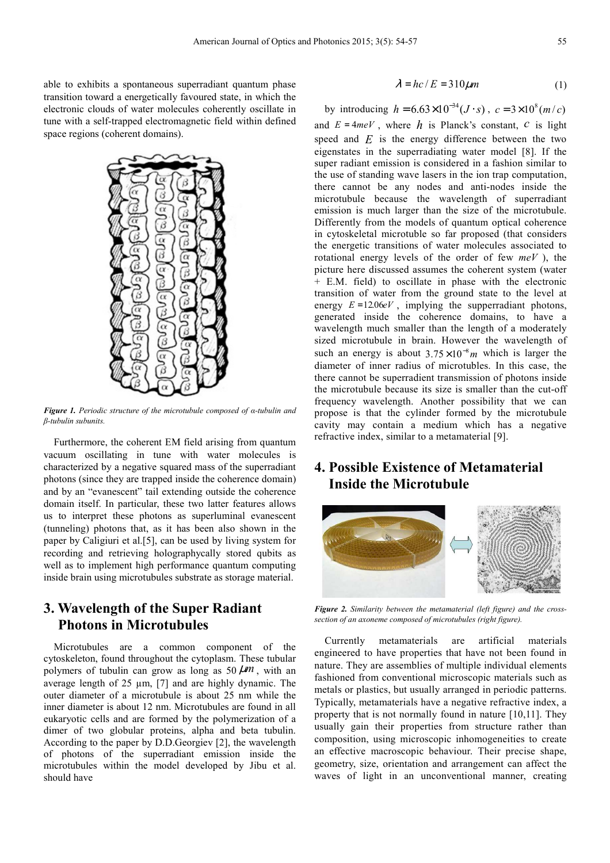able to exhibits a spontaneous superradiant quantum phase transition toward a energetically favoured state, in which the electronic clouds of water molecules coherently oscillate in tune with a self-trapped electromagnetic field within defined space regions (coherent domains).



*Figure 1. Periodic structure of the microtubule composed of α-tubulin and β-tubulin subunits.* 

Furthermore, the coherent EM field arising from quantum vacuum oscillating in tune with water molecules is characterized by a negative squared mass of the superradiant photons (since they are trapped inside the coherence domain) and by an "evanescent" tail extending outside the coherence domain itself. In particular, these two latter features allows us to interpret these photons as superluminal evanescent (tunneling) photons that, as it has been also shown in the paper by Caligiuri et al.[5], can be used by living system for recording and retrieving holographycally stored qubits as well as to implement high performance quantum computing inside brain using microtubules substrate as storage material.

## **3. Wavelength of the Super Radiant Photons in Microtubules**

Microtubules are a common component of the cytoskeleton, found throughout the cytoplasm. These tubular polymers of tubulin can grow as long as  $50 \mu m$ , with an average length of 25 µm, [7] and are highly dynamic. The outer diameter of a microtubule is about 25 nm while the inner diameter is about 12 nm. Microtubules are found in all eukaryotic cells and are formed by the polymerization of a dimer of two globular proteins, alpha and beta tubulin. According to the paper by D.D.Georgiev [2], the wavelength of photons of the superradiant emission inside the microtubules within the model developed by Jibu et al. should have

$$
\lambda = hc/E = 310 \mu m \tag{1}
$$

by introducing  $h = 6.63 \times 10^{-34} (J \cdot s)$ ,  $c = 3 \times 10^8 (m/c)$ and  $E = 4meV$ , where  $h$  is Planck's constant,  $c$  is light speed and  $E$  is the energy difference between the two eigenstates in the superradiating water model [8]. If the super radiant emission is considered in a fashion similar to the use of standing wave lasers in the ion trap computation, there cannot be any nodes and anti-nodes inside the microtubule because the wavelength of superradiant emission is much larger than the size of the microtubule. Differently from the models of quantum optical coherence in cytoskeletal microtuble so far proposed (that considers the energetic transitions of water molecules associated to rotational energy levels of the order of few *meV* ), the picture here discussed assumes the coherent system (water + E.M. field) to oscillate in phase with the electronic transition of water from the ground state to the level at energy  $E = 12.06eV$ , implying the supperradiant photons, generated inside the coherence domains, to have a wavelength much smaller than the length of a moderately sized microtubule in brain. However the wavelength of such an energy is about  $3.75 \times 10^{-8}$  *m* which is larger the diameter of inner radius of microtubles. In this case, the there cannot be superradient transmission of photons inside the microtubule because its size is smaller than the cut-off frequency wavelength. Another possibility that we can propose is that the cylinder formed by the microtubule cavity may contain a medium which has a negative refractive index, similar to a metamaterial [9].

# **4. Possible Existence of Metamaterial Inside the Microtubule**



*Figure 2. Similarity between the metamaterial (left figure) and the crosssection of an axoneme composed of microtubules (right figure).* 

Currently metamaterials are artificial materials engineered to have properties that have not been found in nature. They are assemblies of multiple individual elements fashioned from conventional microscopic materials such as metals or plastics, but usually arranged in periodic patterns. Typically, metamaterials have a negative refractive index, a property that is not normally found in nature [10,11]. They usually gain their properties from structure rather than composition, using microscopic inhomogeneities to create an effective macroscopic behaviour. Their precise shape, geometry, size, orientation and arrangement can affect the waves of light in an unconventional manner, creating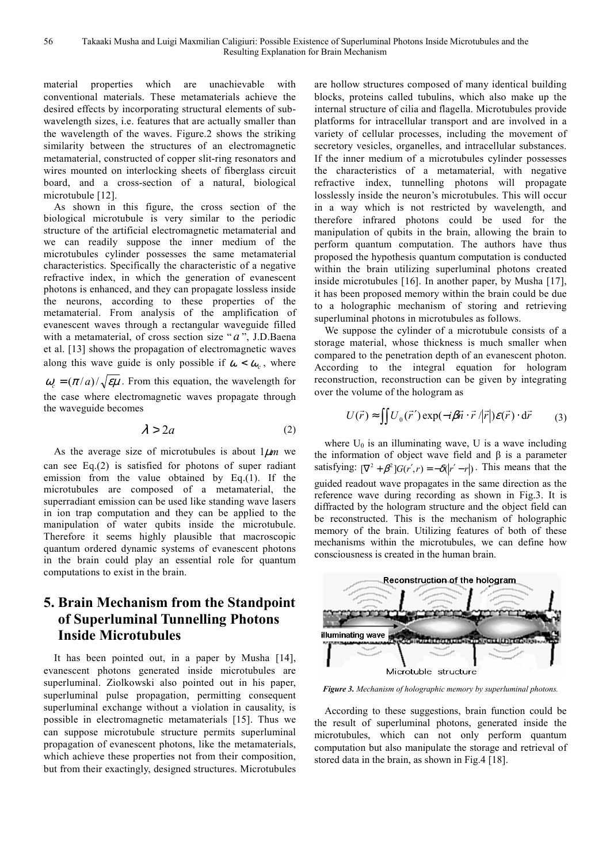material properties which are unachievable with conventional materials. These metamaterials achieve the desired effects by incorporating structural elements of subwavelength sizes, i.e. features that are actually smaller than the wavelength of the waves. Figure.2 shows the striking similarity between the structures of an electromagnetic metamaterial, constructed of copper slit-ring resonators and wires mounted on interlocking sheets of fiberglass circuit board, and a cross-section of a natural, biological microtubule [12].

As shown in this figure, the cross section of the biological microtubule is very similar to the periodic structure of the artificial electromagnetic metamaterial and we can readily suppose the inner medium of the microtubules cylinder possesses the same metamaterial characteristics. Specifically the characteristic of a negative refractive index, in which the generation of evanescent photons is enhanced, and they can propagate lossless inside the neurons, according to these properties of the metamaterial. From analysis of the amplification of evanescent waves through a rectangular waveguide filled with a metamaterial, of cross section size "a", J.D.Baena et al. [13] shows the propagation of electromagnetic waves along this wave guide is only possible if  $\omega < \omega_c$ , where  $\omega$ <sub>c</sub> =  $(\pi/a)/\sqrt{\epsilon\mu}$ . From this equation, the wavelength for the case where electromagnetic waves propagate through the waveguide becomes

$$
\lambda > 2a \tag{2}
$$

As the average size of microtubules is about  $1 \mu m$  we can see Eq.(2) is satisfied for photons of super radiant emission from the value obtained by Eq.(1). If the microtubules are composed of a metamaterial, the superradiant emission can be used like standing wave lasers in ion trap computation and they can be applied to the manipulation of water qubits inside the microtubule. Therefore it seems highly plausible that macroscopic quantum ordered dynamic systems of evanescent photons in the brain could play an essential role for quantum computations to exist in the brain.

# **5. Brain Mechanism from the Standpoint of Superluminal Tunnelling Photons Inside Microtubules**

It has been pointed out, in a paper by Musha [14], evanescent photons generated inside microtubules are superluminal. Ziolkowski also pointed out in his paper, superluminal pulse propagation, permitting consequent superluminal exchange without a violation in causality, is possible in electromagnetic metamaterials [15]. Thus we can suppose microtubule structure permits superluminal propagation of evanescent photons, like the metamaterials, which achieve these properties not from their composition, but from their exactingly, designed structures. Microtubules are hollow structures composed of many identical building blocks, proteins called tubulins, which also make up the internal structure of cilia and flagella. Microtubules provide platforms for intracellular transport and are involved in a variety of cellular processes, including the movement of secretory vesicles, organelles, and intracellular substances. If the inner medium of a microtubules cylinder possesses the characteristics of a metamaterial, with negative refractive index, tunnelling photons will propagate losslessly inside the neuron's microtubules. This will occur in a way which is not restricted by wavelength, and therefore infrared photons could be used for the manipulation of qubits in the brain, allowing the brain to perform quantum computation. The authors have thus proposed the hypothesis quantum computation is conducted within the brain utilizing superluminal photons created inside microtubules [16]. In another paper, by Musha [17], it has been proposed memory within the brain could be due to a holographic mechanism of storing and retrieving superluminal photons in microtubules as follows.

We suppose the cylinder of a microtubule consists of a storage material, whose thickness is much smaller when compared to the penetration depth of an evanescent photon. According to the integral equation for hologram reconstruction, reconstruction can be given by integrating over the volume of the hologram as

$$
U(\vec{r}) \approx \iint U_0(\vec{r}') \exp(-i\beta \vec{n} \cdot \vec{r} / |\vec{r}|) \mathcal{E}(\vec{r}) \cdot d\vec{r}
$$
 (3)

where  $U_0$  is an illuminating wave, U is a wave including the information of object wave field and  $β$  is a parameter satisfying:  $[\nabla^2 + \beta^2] G(r', r) = -\delta(|r' - r|)$ . This means that the guided readout wave propagates in the same direction as the reference wave during recording as shown in Fig.3. It is diffracted by the hologram structure and the object field can be reconstructed. This is the mechanism of holographic memory of the brain. Utilizing features of both of these mechanisms within the microtubules, we can define how consciousness is created in the human brain.



*Figure 3. Mechanism of holographic memory by superluminal photons.* 

According to these suggestions, brain function could be the result of superluminal photons, generated inside the microtubules, which can not only perform quantum computation but also manipulate the storage and retrieval of stored data in the brain, as shown in Fig.4 [18].